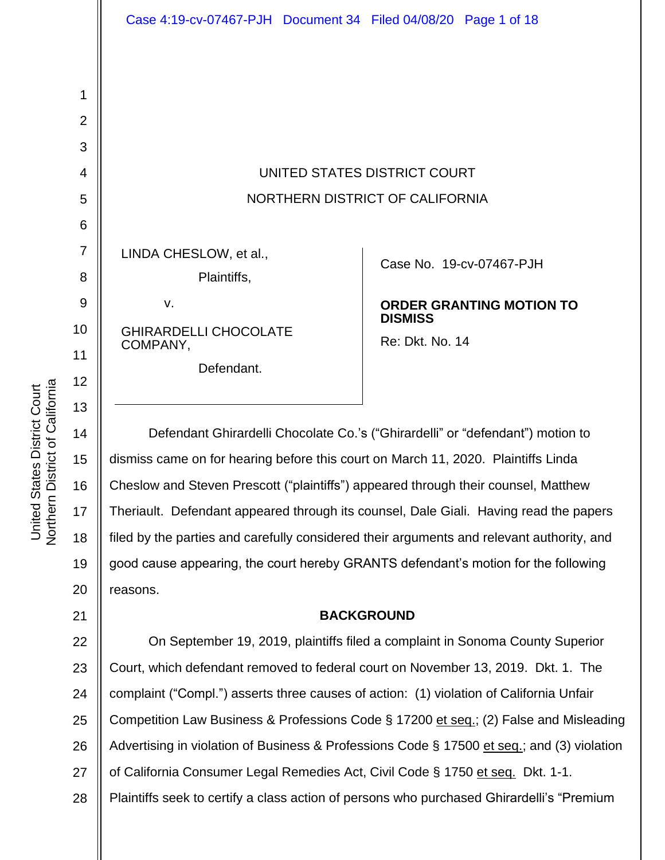# UNITED STATES DISTRICT COURT NORTHERN DISTRICT OF CALIFORNIA

LINDA CHESLOW, et al.,

|    | Plaintiffs, |
|----|-------------|
| v. |             |

GHIRARDELLI CHOCOLATE COMPANY,

Defendant.

Case No. [19-cv-07467-PJH](https://ecf.cand.uscourts.gov/cgi-bin/DktRpt.pl?351429) 

# **ORDER GRANTING MOTION TO DISMISS**

Re: Dkt. No. 14

Defendant Ghirardelli Chocolate Co.'s ("Ghirardelli" or "defendant") motion to dismiss came on for hearing before this court on March 11, 2020. Plaintiffs Linda Cheslow and Steven Prescott ("plaintiffs") appeared through their counsel, Matthew Theriault. Defendant appeared through its counsel, Dale Giali. Having read the papers filed by the parties and carefully considered their arguments and relevant authority, and good cause appearing, the court hereby GRANTS defendant's motion for the following reasons.

# **BACKGROUND**

22 23 24 25 26 27 28 On September 19, 2019, plaintiffs filed a complaint in Sonoma County Superior Court, which defendant removed to federal court on November 13, 2019. Dkt. 1. The complaint ("Compl.") asserts three causes of action: (1) violation of California Unfair Competition Law Business & Professions Code § 17200 et seq.; (2) False and Misleading Advertising in violation of Business & Professions Code § 17500 et seq.; and (3) violation of California Consumer Legal Remedies Act, Civil Code § 1750 et seq. Dkt. 1-1. Plaintiffs seek to certify a class action of persons who purchased Ghirardelli's "Premium

1

2

3

4

5

6

7

8

9

10

11

12

13

14

15

16

17

18

19

20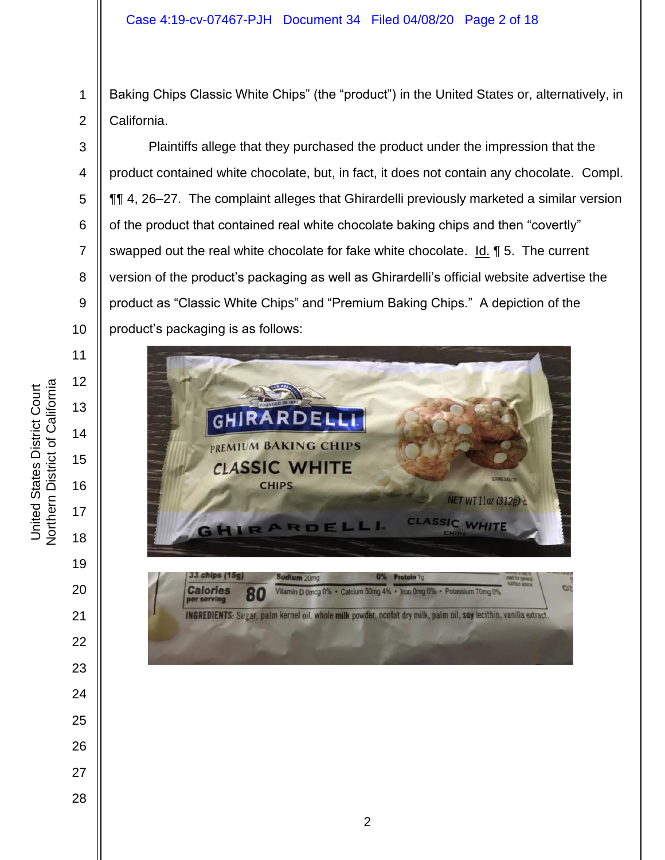Baking Chips Classic White Chips" (the "product") in the United States or, alternatively, in California.

Plaintiffs allege that they purchased the product under the impression that the product contained white chocolate, but, in fact, it does not contain any chocolate. Compl. ¶¶ 4, 26–27. The complaint alleges that Ghirardelli previously marketed a similar version of the product that contained real white chocolate baking chips and then "covertly" swapped out the real white chocolate for fake white chocolate. Id. ¶ 5. The current version of the product's packaging as well as Ghirardelli's official website advertise the product as "Classic White Chips" and "Premium Baking Chips." A depiction of the product's packaging is as follows:

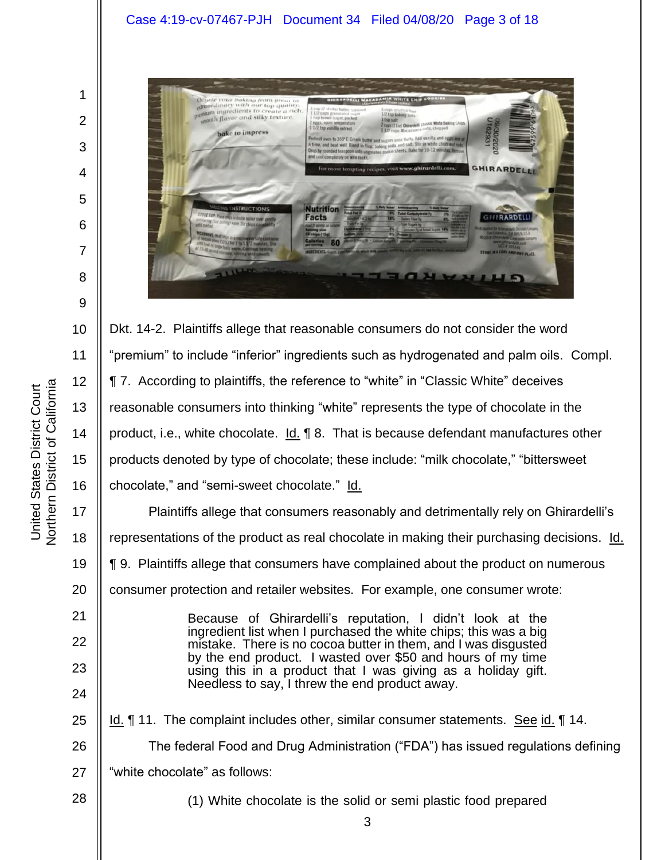#### Case 4:19-cv-07467-PJH Document 34 Filed 04/08/20 Page 3 of 18

1

2

3

4

5

6

7

8

9



10 11 12 13 14 15 16 Dkt. 14-2. Plaintiffs allege that reasonable consumers do not consider the word "premium" to include "inferior" ingredients such as hydrogenated and palm oils. Compl. ¶ 7. According to plaintiffs, the reference to "white" in "Classic White" deceives reasonable consumers into thinking "white" represents the type of chocolate in the product, i.e., white chocolate.  $\underline{\mathsf{Id}}$ .  $\P$  8. That is because defendant manufactures other products denoted by type of chocolate; these include: "milk chocolate," "bittersweet chocolate," and "semi-sweet chocolate." Id.

17 18 19 20 21 22 23 Plaintiffs allege that consumers reasonably and detrimentally rely on Ghirardelli's representations of the product as real chocolate in making their purchasing decisions. Id. ¶ 9. Plaintiffs allege that consumers have complained about the product on numerous consumer protection and retailer websites. For example, one consumer wrote: Because of Ghirardelli's reputation, I didn't look at the ingredient list when I purchased the white chips; this was a big mistake. There is no cocoa butter in them, and I was disgusted by the end product. I wasted over \$50 and hours of my time using this in a product that I was giving as a holiday gift. Needless to say, I threw the end product away.

25 26 27 Id. ¶ 11. The complaint includes other, similar consumer statements. See id. ¶ 14. The federal Food and Drug Administration ("FDA") has issued regulations defining "white chocolate" as follows:

28

24

(1) White chocolate is the solid or semi plastic food prepared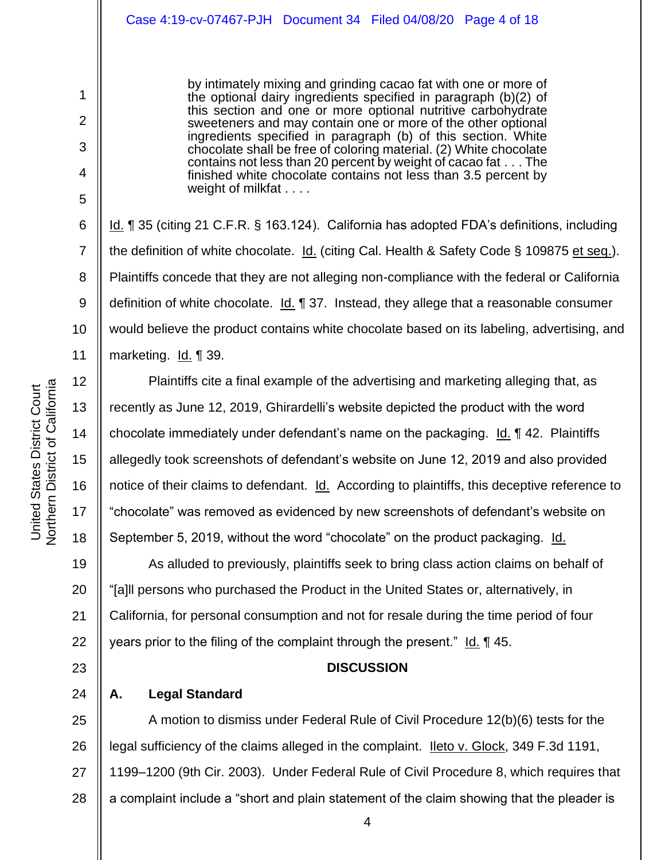by intimately mixing and grinding cacao fat with one or more of the optional dairy ingredients specified in paragraph (b)(2) of this section and one or more optional nutritive carbohydrate sweeteners and may contain one or more of the other optional ingredients specified in paragraph (b) of this section. White chocolate shall be free of coloring material. (2) White chocolate contains not less than 20 percent by weight of cacao fat . . . The finished white chocolate contains not less than 3.5 percent by weight of milkfat . . . .

Id. ¶ 35 (citing 21 C.F.R. § 163.124). California has adopted FDA's definitions, including the definition of white chocolate. Id. (citing Cal. Health & Safety Code § 109875 et seq.). Plaintiffs concede that they are not alleging non-compliance with the federal or California definition of white chocolate. Id. 1 37. Instead, they allege that a reasonable consumer would believe the product contains white chocolate based on its labeling, advertising, and marketing. Id. ¶ 39.

Plaintiffs cite a final example of the advertising and marketing alleging that, as recently as June 12, 2019, Ghirardelli's website depicted the product with the word chocolate immediately under defendant's name on the packaging.  $Id. \nI$  42. Plaintiffs allegedly took screenshots of defendant's website on June 12, 2019 and also provided notice of their claims to defendant. Id. According to plaintiffs, this deceptive reference to "chocolate" was removed as evidenced by new screenshots of defendant's website on September 5, 2019, without the word "chocolate" on the product packaging. Id.

19 20 21 22 As alluded to previously, plaintiffs seek to bring class action claims on behalf of "[a]ll persons who purchased the Product in the United States or, alternatively, in California, for personal consumption and not for resale during the time period of four years prior to the filing of the complaint through the present." Id. ¶ 45.

#### **DISCUSSION**

**A. Legal Standard**

25 26 27 28 A motion to dismiss under Federal Rule of Civil Procedure 12(b)(6) tests for the legal sufficiency of the claims alleged in the complaint. <u>Ileto v. Glock</u>, 349 F.3d 1191, 1199–1200 (9th Cir. 2003). Under Federal Rule of Civil Procedure 8, which requires that a complaint include a "short and plain statement of the claim showing that the pleader is

1

2

3

4

5

6

7

8

9

10

11

12

13

14

15

16

17

18

23

24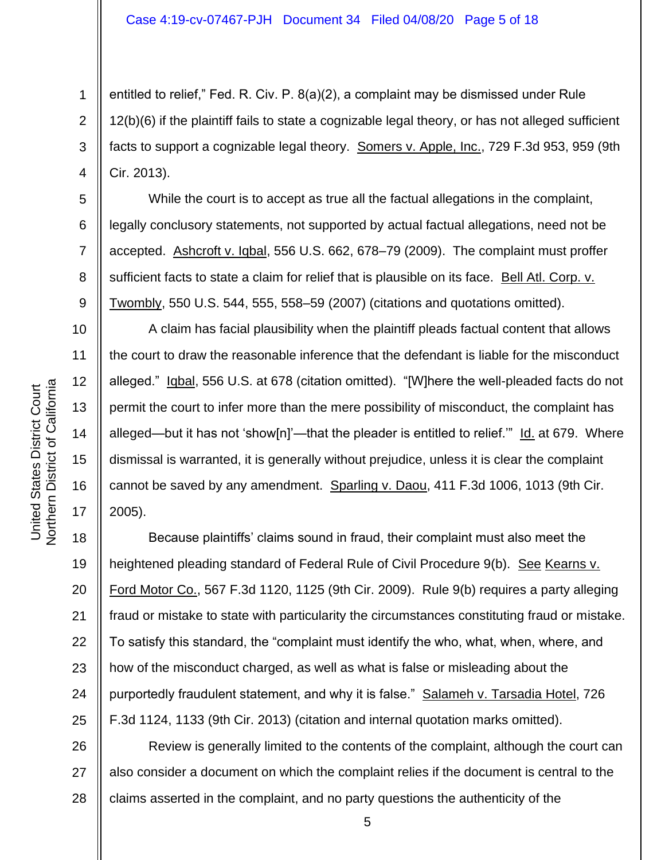2 3 4 entitled to relief," Fed. R. Civ. P. 8(a)(2), a complaint may be dismissed under Rule 12(b)(6) if the plaintiff fails to state a cognizable legal theory, or has not alleged sufficient facts to support a cognizable legal theory. Somers v. Apple, Inc., 729 F.3d 953, 959 (9th Cir. 2013).

While the court is to accept as true all the factual allegations in the complaint, legally conclusory statements, not supported by actual factual allegations, need not be accepted. Ashcroft v. Iqbal, 556 U.S. 662, 678–79 (2009). The complaint must proffer sufficient facts to state a claim for relief that is plausible on its face. Bell Atl. Corp. v. Twombly, 550 U.S. 544, 555, 558–59 (2007) (citations and quotations omitted).

A claim has facial plausibility when the plaintiff pleads factual content that allows the court to draw the reasonable inference that the defendant is liable for the misconduct alleged." Igbal, 556 U.S. at 678 (citation omitted). "[W]here the well-pleaded facts do not permit the court to infer more than the mere possibility of misconduct, the complaint has alleged—but it has not 'show[n]'—that the pleader is entitled to relief." Id. at 679. Where dismissal is warranted, it is generally without prejudice, unless it is clear the complaint cannot be saved by any amendment. Sparling v. Daou, 411 F.3d 1006, 1013 (9th Cir. 2005).

18 19 20 21 22 23 24 25 Because plaintiffs' claims sound in fraud, their complaint must also meet the heightened pleading standard of Federal Rule of Civil Procedure 9(b). See Kearns v. Ford Motor Co., 567 F.3d 1120, 1125 (9th Cir. 2009). Rule 9(b) requires a party alleging fraud or mistake to state with particularity the circumstances constituting fraud or mistake. To satisfy this standard, the "complaint must identify the who, what, when, where, and how of the misconduct charged, as well as what is false or misleading about the purportedly fraudulent statement, and why it is false." Salameh v. Tarsadia Hotel, 726 F.3d 1124, 1133 (9th Cir. 2013) (citation and internal quotation marks omitted).

26 27 28 Review is generally limited to the contents of the complaint, although the court can also consider a document on which the complaint relies if the document is central to the claims asserted in the complaint, and no party questions the authenticity of the

1

5

6

7

8

9

10

11

12

13

14

15

16

17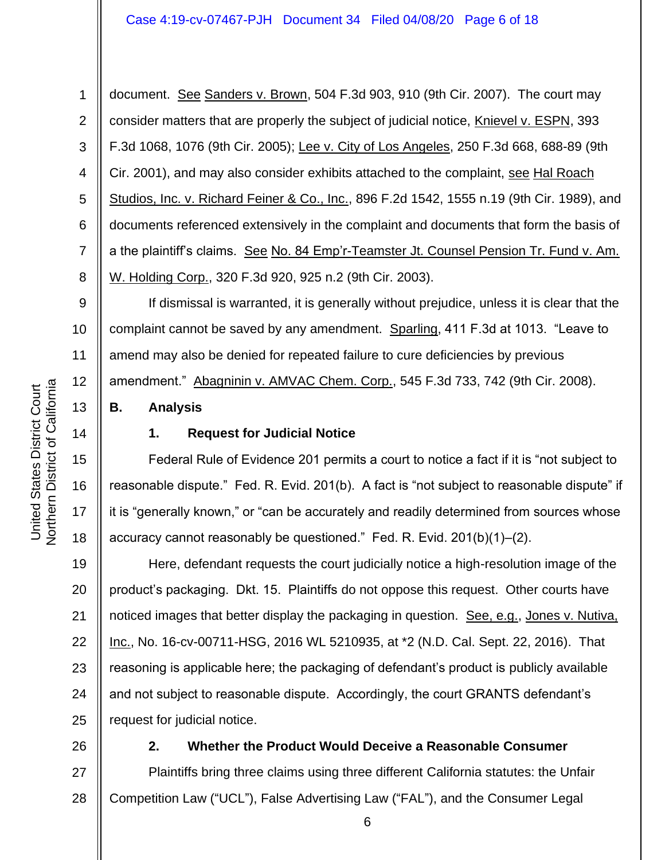#### Case 4:19-cv-07467-PJH Document 34 Filed 04/08/20 Page 6 of 18

1 2 3 4 5 6 7 8 document. See Sanders v. Brown, 504 F.3d 903, 910 (9th Cir. 2007). The court may consider matters that are properly the subject of judicial notice, Knievel v. ESPN, 393 F.3d 1068, 1076 (9th Cir. 2005); Lee v. City of Los Angeles, 250 F.3d 668, 688-89 (9th Cir. 2001), and may also consider exhibits attached to the complaint, see Hal Roach Studios, Inc. v. Richard Feiner & Co., Inc., 896 F.2d 1542, 1555 n.19 (9th Cir. 1989), and documents referenced extensively in the complaint and documents that form the basis of a the plaintiff's claims. See No. 84 Emp'r-Teamster Jt. Counsel Pension Tr. Fund v. Am. W. Holding Corp., 320 F.3d 920, 925 n.2 (9th Cir. 2003).

9 10 11 12 If dismissal is warranted, it is generally without prejudice, unless it is clear that the complaint cannot be saved by any amendment. Sparling, 411 F.3d at 1013. "Leave to amend may also be denied for repeated failure to cure deficiencies by previous amendment." Abagninin v. AMVAC Chem. Corp., 545 F.3d 733, 742 (9th Cir. 2008).

#### **B. Analysis**

# 14

15

16

17

18

13

#### **1. Request for Judicial Notice**

Federal Rule of Evidence 201 permits a court to notice a fact if it is "not subject to reasonable dispute." Fed. R. Evid. 201(b). A fact is "not subject to reasonable dispute" if it is "generally known," or "can be accurately and readily determined from sources whose accuracy cannot reasonably be questioned." Fed. R. Evid. 201(b)(1)–(2).

19 20 21 22 23 24 25 Here, defendant requests the court judicially notice a high-resolution image of the product's packaging. Dkt. 15. Plaintiffs do not oppose this request. Other courts have noticed images that better display the packaging in question. See, e.g., Jones v. Nutiva, Inc., No. 16-cv-00711-HSG, 2016 WL 5210935, at \*2 (N.D. Cal. Sept. 22, 2016). That reasoning is applicable here; the packaging of defendant's product is publicly available and not subject to reasonable dispute. Accordingly, the court GRANTS defendant's request for judicial notice.

26

#### **2. Whether the Product Would Deceive a Reasonable Consumer**

27 28 Plaintiffs bring three claims using three different California statutes: the Unfair Competition Law ("UCL"), False Advertising Law ("FAL"), and the Consumer Legal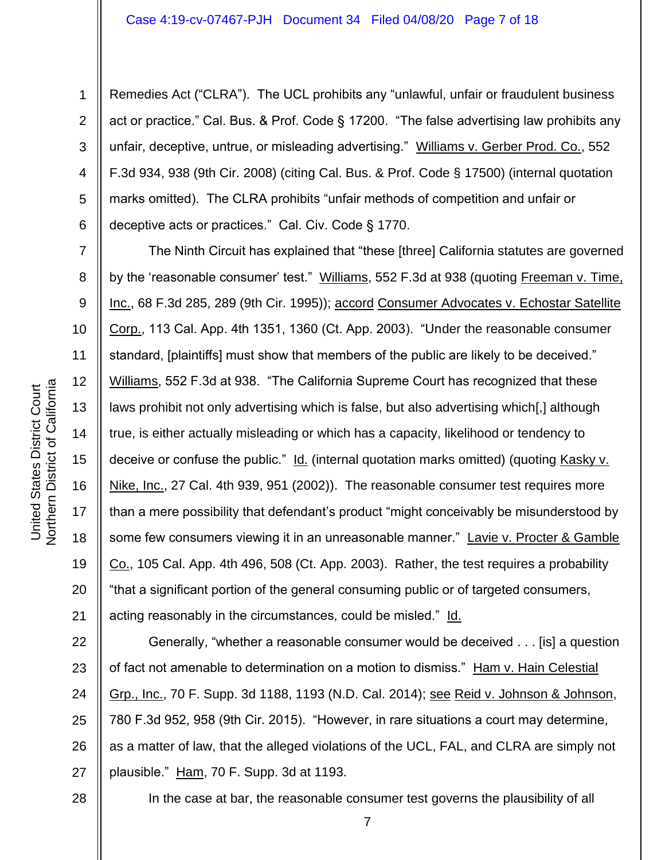Remedies Act ("CLRA"). The UCL prohibits any "unlawful, unfair or fraudulent business act or practice." Cal. Bus. & Prof. Code § 17200. "The false advertising law prohibits any unfair, deceptive, untrue, or misleading advertising." Williams v. Gerber Prod. Co., 552 F.3d 934, 938 (9th Cir. 2008) (citing Cal. Bus. & Prof. Code § 17500) (internal quotation marks omitted). The CLRA prohibits "unfair methods of competition and unfair or deceptive acts or practices." Cal. Civ. Code § 1770.

The Ninth Circuit has explained that "these [three] California statutes are governed by the 'reasonable consumer' test." Williams, 552 F.3d at 938 (quoting Freeman v. Time, Inc., 68 F.3d 285, 289 (9th Cir. 1995)); accord Consumer Advocates v. Echostar Satellite Corp., 113 Cal. App. 4th 1351, 1360 (Ct. App. 2003). "Under the reasonable consumer standard, [plaintiffs] must show that members of the public are likely to be deceived." Williams, 552 F.3d at 938. "The California Supreme Court has recognized that these laws prohibit not only advertising which is false, but also advertising which[,] although true, is either actually misleading or which has a capacity, likelihood or tendency to deceive or confuse the public." Id. (internal quotation marks omitted) (quoting Kasky v. Nike, Inc., 27 Cal. 4th 939, 951 (2002)). The reasonable consumer test requires more than a mere possibility that defendant's product "might conceivably be misunderstood by some few consumers viewing it in an unreasonable manner." Lavie v. Procter & Gamble Co., 105 Cal. App. 4th 496, 508 (Ct. App. 2003). Rather, the test requires a probability "that a significant portion of the general consuming public or of targeted consumers, acting reasonably in the circumstances, could be misled." Id.

22 23 24 25 26 27 Generally, "whether a reasonable consumer would be deceived . . . [is] a question of fact not amenable to determination on a motion to dismiss." Ham v. Hain Celestial Grp., Inc., 70 F. Supp. 3d 1188, 1193 (N.D. Cal. 2014); see Reid v. Johnson & Johnson, 780 F.3d 952, 958 (9th Cir. 2015). "However, in rare situations a court may determine, as a matter of law, that the alleged violations of the UCL, FAL, and CLRA are simply not plausible." Ham, 70 F. Supp. 3d at 1193.

**Northern District of California** Northern District of California United States District Court United States District Court

1

2

3

4

5

6

7

8

9

10

11

12

13

14

15

16

17

18

19

20

21

In the case at bar, the reasonable consumer test governs the plausibility of all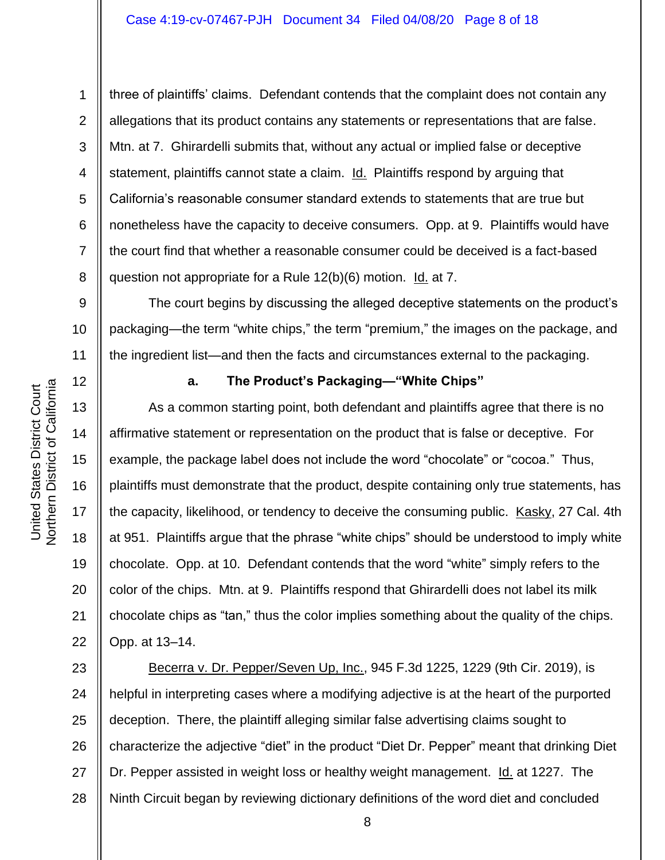three of plaintiffs' claims. Defendant contends that the complaint does not contain any allegations that its product contains any statements or representations that are false. Mtn. at 7. Ghirardelli submits that, without any actual or implied false or deceptive statement, plaintiffs cannot state a claim. Id. Plaintiffs respond by arguing that California's reasonable consumer standard extends to statements that are true but nonetheless have the capacity to deceive consumers. Opp. at 9. Plaintiffs would have the court find that whether a reasonable consumer could be deceived is a fact-based question not appropriate for a Rule 12(b)(6) motion. Id. at 7.

9 10 11 The court begins by discussing the alleged deceptive statements on the product's packaging—the term "white chips," the term "premium," the images on the package, and the ingredient list—and then the facts and circumstances external to the packaging.

### **a. The Product's Packaging—"White Chips"**

As a common starting point, both defendant and plaintiffs agree that there is no affirmative statement or representation on the product that is false or deceptive. For example, the package label does not include the word "chocolate" or "cocoa." Thus, plaintiffs must demonstrate that the product, despite containing only true statements, has the capacity, likelihood, or tendency to deceive the consuming public. Kasky, 27 Cal. 4th at 951. Plaintiffs argue that the phrase "white chips" should be understood to imply white chocolate. Opp. at 10. Defendant contends that the word "white" simply refers to the color of the chips. Mtn. at 9. Plaintiffs respond that Ghirardelli does not label its milk chocolate chips as "tan," thus the color implies something about the quality of the chips. Opp. at 13–14.

23 24 25 26 27 28 Becerra v. Dr. Pepper/Seven Up, Inc., 945 F.3d 1225, 1229 (9th Cir. 2019), is helpful in interpreting cases where a modifying adjective is at the heart of the purported deception. There, the plaintiff alleging similar false advertising claims sought to characterize the adjective "diet" in the product "Diet Dr. Pepper" meant that drinking Diet Dr. Pepper assisted in weight loss or healthy weight management. Id. at 1227. The Ninth Circuit began by reviewing dictionary definitions of the word diet and concluded

8

1

2

3

4

5

6

7

8

12

13

14

15

16

17

18

19

20

21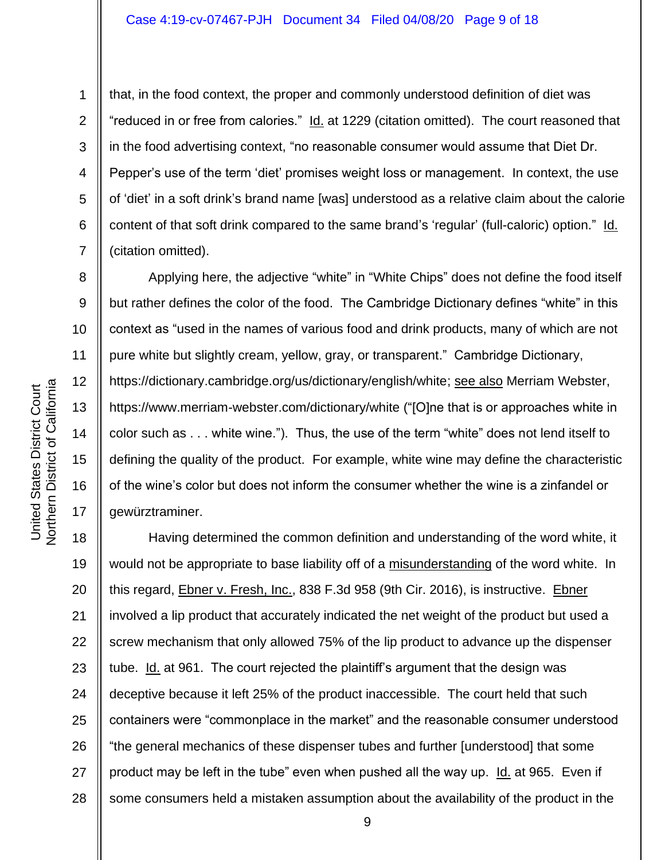9

10

11

12

13

14

15

16

17

1

that, in the food context, the proper and commonly understood definition of diet was "reduced in or free from calories." Id. at 1229 (citation omitted). The court reasoned that in the food advertising context, "no reasonable consumer would assume that Diet Dr. Pepper's use of the term 'diet' promises weight loss or management. In context, the use of 'diet' in a soft drink's brand name [was] understood as a relative claim about the calorie content of that soft drink compared to the same brand's 'regular' (full-caloric) option." Id. (citation omitted).

Applying here, the adjective "white" in "White Chips" does not define the food itself but rather defines the color of the food. The Cambridge Dictionary defines "white" in this context as "used in the names of various food and drink products, many of which are not pure white but slightly cream, yellow, gray, or transparent." Cambridge Dictionary, https://dictionary.cambridge.org/us/dictionary/english/white; see also Merriam Webster, https://www.merriam-webster.com/dictionary/white ("[O]ne that is or approaches white in color such as . . . white wine."). Thus, the use of the term "white" does not lend itself to defining the quality of the product. For example, white wine may define the characteristic of the wine's color but does not inform the consumer whether the wine is a zinfandel or gewürztraminer.

18 19 20 21 22 23 24 25 26 27 28 Having determined the common definition and understanding of the word white, it would not be appropriate to base liability off of a misunderstanding of the word white. In this regard, Ebner v. Fresh, Inc., 838 F.3d 958 (9th Cir. 2016), is instructive. Ebner involved a lip product that accurately indicated the net weight of the product but used a screw mechanism that only allowed 75% of the lip product to advance up the dispenser tube. Id. at 961. The court rejected the plaintiff's argument that the design was deceptive because it left 25% of the product inaccessible. The court held that such containers were "commonplace in the market" and the reasonable consumer understood "the general mechanics of these dispenser tubes and further [understood] that some product may be left in the tube" even when pushed all the way up. Id. at 965. Even if some consumers held a mistaken assumption about the availability of the product in the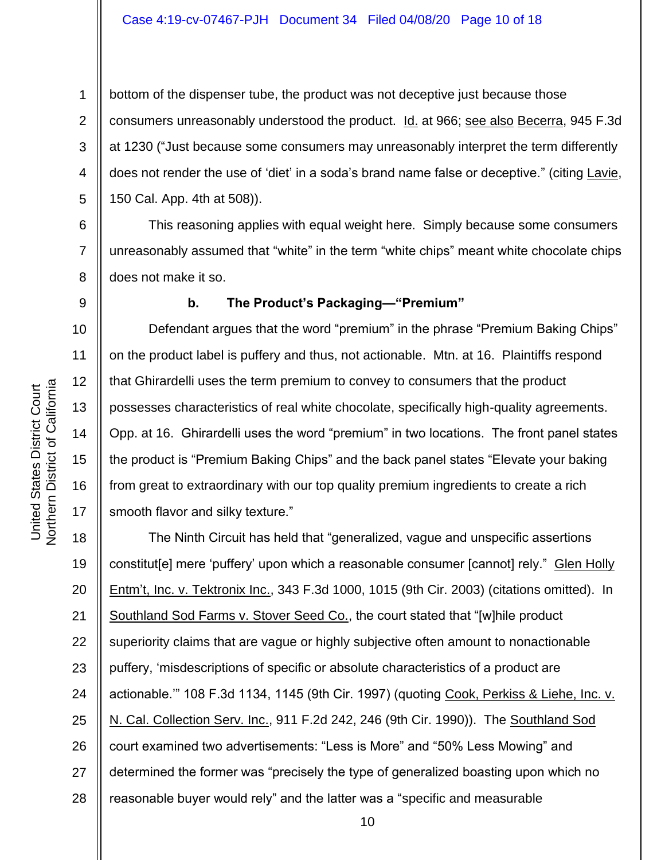2 3 4 bottom of the dispenser tube, the product was not deceptive just because those consumers unreasonably understood the product. Id. at 966; see also Becerra, 945 F.3d at 1230 ("Just because some consumers may unreasonably interpret the term differently does not render the use of 'diet' in a soda's brand name false or deceptive." (citing Lavie, 150 Cal. App. 4th at 508)).

6 7 8 This reasoning applies with equal weight here. Simply because some consumers unreasonably assumed that "white" in the term "white chips" meant white chocolate chips does not make it so.

### **b. The Product's Packaging—"Premium"**

Defendant argues that the word "premium" in the phrase "Premium Baking Chips" on the product label is puffery and thus, not actionable. Mtn. at 16. Plaintiffs respond that Ghirardelli uses the term premium to convey to consumers that the product possesses characteristics of real white chocolate, specifically high-quality agreements. Opp. at 16. Ghirardelli uses the word "premium" in two locations. The front panel states the product is "Premium Baking Chips" and the back panel states "Elevate your baking from great to extraordinary with our top quality premium ingredients to create a rich smooth flavor and silky texture."

18 19 20 21 22 23 24 25 26 27 28 The Ninth Circuit has held that "generalized, vague and unspecific assertions constitut[e] mere 'puffery' upon which a reasonable consumer [cannot] rely." Glen Holly Entm't, Inc. v. Tektronix Inc., 343 F.3d 1000, 1015 (9th Cir. 2003) (citations omitted). In Southland Sod Farms v. Stover Seed Co., the court stated that "[w]hile product superiority claims that are vague or highly subjective often amount to nonactionable puffery, 'misdescriptions of specific or absolute characteristics of a product are actionable.'" 108 F.3d 1134, 1145 (9th Cir. 1997) (quoting Cook, Perkiss & Liehe, Inc. v. N. Cal. Collection Serv. Inc., 911 F.2d 242, 246 (9th Cir. 1990)). The Southland Sod court examined two advertisements: "Less is More" and "50% Less Mowing" and determined the former was "precisely the type of generalized boasting upon which no reasonable buyer would rely" and the latter was a "specific and measurable

1

5

9

10

11

12

13

14

15

16

17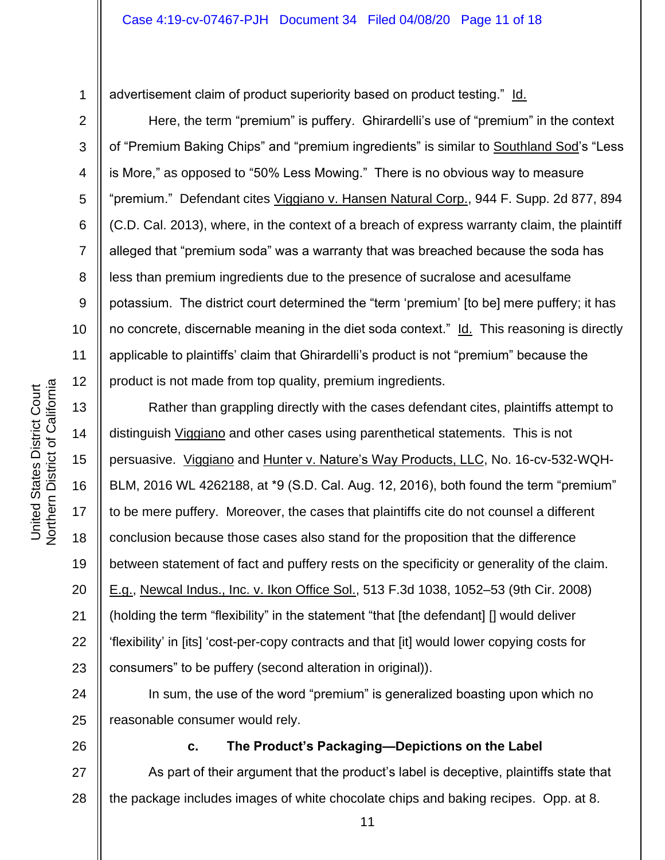advertisement claim of product superiority based on product testing." Id.

Here, the term "premium" is puffery. Ghirardelli's use of "premium" in the context of "Premium Baking Chips" and "premium ingredients" is similar to Southland Sod's "Less is More," as opposed to "50% Less Mowing." There is no obvious way to measure "premium." Defendant cites Viggiano v. Hansen Natural Corp., 944 F. Supp. 2d 877, 894 (C.D. Cal. 2013), where, in the context of a breach of express warranty claim, the plaintiff alleged that "premium soda" was a warranty that was breached because the soda has less than premium ingredients due to the presence of sucralose and acesulfame potassium. The district court determined the "term 'premium' [to be] mere puffery; it has no concrete, discernable meaning in the diet soda context." Id. This reasoning is directly applicable to plaintiffs' claim that Ghirardelli's product is not "premium" because the product is not made from top quality, premium ingredients.

13 14 15 16 17 18 19 20 21 22 23 Rather than grappling directly with the cases defendant cites, plaintiffs attempt to distinguish *Viggiano* and other cases using parenthetical statements. This is not persuasive. Viggiano and Hunter v. Nature's Way Products, LLC, No. 16-cv-532-WQH-BLM, 2016 WL 4262188, at \*9 (S.D. Cal. Aug. 12, 2016), both found the term "premium" to be mere puffery. Moreover, the cases that plaintiffs cite do not counsel a different conclusion because those cases also stand for the proposition that the difference between statement of fact and puffery rests on the specificity or generality of the claim. E.g., Newcal Indus., Inc. v. Ikon Office Sol., 513 F.3d 1038, 1052–53 (9th Cir. 2008) (holding the term "flexibility" in the statement "that [the defendant] [] would deliver 'flexibility' in [its] 'cost-per-copy contracts and that [it] would lower copying costs for consumers" to be puffery (second alteration in original)).

24 25 In sum, the use of the word "premium" is generalized boasting upon which no reasonable consumer would rely.

26

**c. The Product's Packaging—Depictions on the Label**

27 28 As part of their argument that the product's label is deceptive, plaintiffs state that the package includes images of white chocolate chips and baking recipes. Opp. at 8.

1

2

3

4

5

6

7

8

9

10

11

12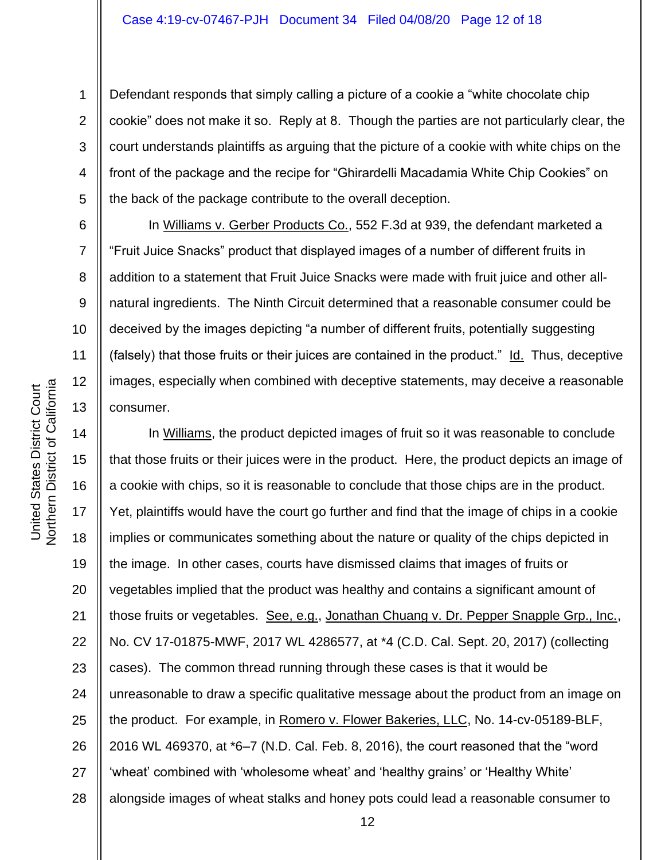Defendant responds that simply calling a picture of a cookie a "white chocolate chip cookie" does not make it so. Reply at 8. Though the parties are not particularly clear, the court understands plaintiffs as arguing that the picture of a cookie with white chips on the front of the package and the recipe for "Ghirardelli Macadamia White Chip Cookies" on the back of the package contribute to the overall deception.

In Williams v. Gerber Products Co., 552 F.3d at 939, the defendant marketed a "Fruit Juice Snacks" product that displayed images of a number of different fruits in addition to a statement that Fruit Juice Snacks were made with fruit juice and other allnatural ingredients. The Ninth Circuit determined that a reasonable consumer could be deceived by the images depicting "a number of different fruits, potentially suggesting (falsely) that those fruits or their juices are contained in the product." Id. Thus, deceptive images, especially when combined with deceptive statements, may deceive a reasonable consumer.

14 15 16 17 18 19 20 21 22 23 24 25 26 27 28 In Williams, the product depicted images of fruit so it was reasonable to conclude that those fruits or their juices were in the product. Here, the product depicts an image of a cookie with chips, so it is reasonable to conclude that those chips are in the product. Yet, plaintiffs would have the court go further and find that the image of chips in a cookie implies or communicates something about the nature or quality of the chips depicted in the image. In other cases, courts have dismissed claims that images of fruits or vegetables implied that the product was healthy and contains a significant amount of those fruits or vegetables. See, e.g., Jonathan Chuang v. Dr. Pepper Snapple Grp., Inc., No. CV 17-01875-MWF, 2017 WL 4286577, at \*4 (C.D. Cal. Sept. 20, 2017) (collecting cases). The common thread running through these cases is that it would be unreasonable to draw a specific qualitative message about the product from an image on the product. For example, in Romero v. Flower Bakeries, LLC, No. 14-cv-05189-BLF, 2016 WL 469370, at \*6–7 (N.D. Cal. Feb. 8, 2016), the court reasoned that the "word 'wheat' combined with 'wholesome wheat' and 'healthy grains' or 'Healthy White' alongside images of wheat stalks and honey pots could lead a reasonable consumer to

1

2

3

4

5

6

7

8

9

10

11

12

13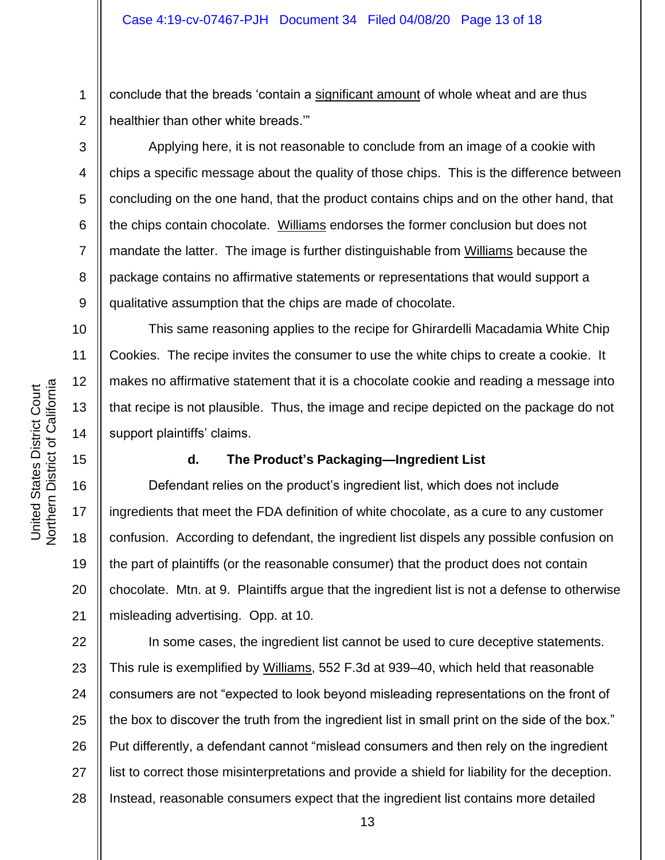1 2 conclude that the breads 'contain a significant amount of whole wheat and are thus healthier than other white breads.'"

Applying here, it is not reasonable to conclude from an image of a cookie with chips a specific message about the quality of those chips. This is the difference between concluding on the one hand, that the product contains chips and on the other hand, that the chips contain chocolate. Williams endorses the former conclusion but does not mandate the latter. The image is further distinguishable from Williams because the package contains no affirmative statements or representations that would support a qualitative assumption that the chips are made of chocolate.

This same reasoning applies to the recipe for Ghirardelli Macadamia White Chip Cookies. The recipe invites the consumer to use the white chips to create a cookie. It makes no affirmative statement that it is a chocolate cookie and reading a message into that recipe is not plausible. Thus, the image and recipe depicted on the package do not support plaintiffs' claims.

#### **d. The Product's Packaging—Ingredient List**

Defendant relies on the product's ingredient list, which does not include ingredients that meet the FDA definition of white chocolate, as a cure to any customer confusion. According to defendant, the ingredient list dispels any possible confusion on the part of plaintiffs (or the reasonable consumer) that the product does not contain chocolate. Mtn. at 9. Plaintiffs argue that the ingredient list is not a defense to otherwise misleading advertising. Opp. at 10.

22 23 24 25 26 27 28 In some cases, the ingredient list cannot be used to cure deceptive statements. This rule is exemplified by Williams, 552 F.3d at 939–40, which held that reasonable consumers are not "expected to look beyond misleading representations on the front of the box to discover the truth from the ingredient list in small print on the side of the box." Put differently, a defendant cannot "mislead consumers and then rely on the ingredient list to correct those misinterpretations and provide a shield for liability for the deception. Instead, reasonable consumers expect that the ingredient list contains more detailed

3

4

5

6

7

8

9

10

11

12

13

14

15

16

17

18

19

20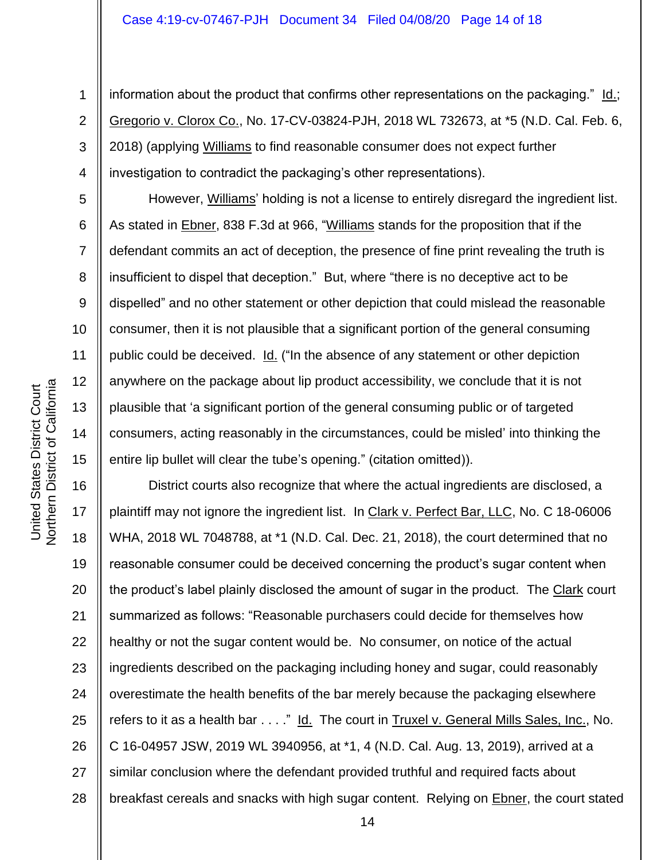information about the product that confirms other representations on the packaging."  $Id$ .; Gregorio v. Clorox Co., No. 17-CV-03824-PJH, 2018 WL 732673, at \*5 (N.D. Cal. Feb. 6, 2018) (applying Williams to find reasonable consumer does not expect further investigation to contradict the packaging's other representations).

However, Williams' holding is not a license to entirely disregard the ingredient list. As stated in Ebner, 838 F.3d at 966, "Williams stands for the proposition that if the defendant commits an act of deception, the presence of fine print revealing the truth is insufficient to dispel that deception." But, where "there is no deceptive act to be dispelled" and no other statement or other depiction that could mislead the reasonable consumer, then it is not plausible that a significant portion of the general consuming public could be deceived. Id. ("In the absence of any statement or other depiction anywhere on the package about lip product accessibility, we conclude that it is not plausible that 'a significant portion of the general consuming public or of targeted consumers, acting reasonably in the circumstances, could be misled' into thinking the entire lip bullet will clear the tube's opening." (citation omitted)).

16 17 18 19 20 21 22 23 24 25 26 27 28 District courts also recognize that where the actual ingredients are disclosed, a plaintiff may not ignore the ingredient list. In Clark v. Perfect Bar, LLC, No. C 18-06006 WHA, 2018 WL 7048788, at \*1 (N.D. Cal. Dec. 21, 2018), the court determined that no reasonable consumer could be deceived concerning the product's sugar content when the product's label plainly disclosed the amount of sugar in the product. The Clark court summarized as follows: "Reasonable purchasers could decide for themselves how healthy or not the sugar content would be. No consumer, on notice of the actual ingredients described on the packaging including honey and sugar, could reasonably overestimate the health benefits of the bar merely because the packaging elsewhere refers to it as a health bar . . . ." Id. The court in Truxel v. General Mills Sales, Inc., No. C 16-04957 JSW, 2019 WL 3940956, at \*1, 4 (N.D. Cal. Aug. 13, 2019), arrived at a similar conclusion where the defendant provided truthful and required facts about breakfast cereals and snacks with high sugar content. Relying on **Ebner**, the court stated

1

2

3

4

5

6

7

8

9

10

11

12

13

14

15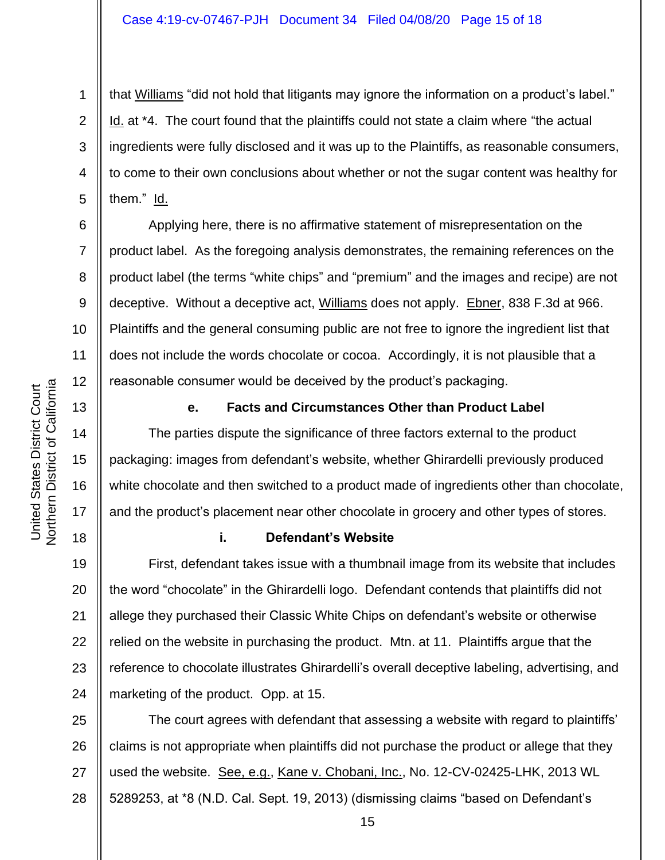4 that Williams "did not hold that litigants may ignore the information on a product's label." Id. at \*4. The court found that the plaintiffs could not state a claim where "the actual ingredients were fully disclosed and it was up to the Plaintiffs, as reasonable consumers, to come to their own conclusions about whether or not the sugar content was healthy for them." Id.

Applying here, there is no affirmative statement of misrepresentation on the product label. As the foregoing analysis demonstrates, the remaining references on the product label (the terms "white chips" and "premium" and the images and recipe) are not deceptive. Without a deceptive act, Williams does not apply. Ebner, 838 F.3d at 966. Plaintiffs and the general consuming public are not free to ignore the ingredient list that does not include the words chocolate or cocoa. Accordingly, it is not plausible that a reasonable consumer would be deceived by the product's packaging.

**e. Facts and Circumstances Other than Product Label**

The parties dispute the significance of three factors external to the product packaging: images from defendant's website, whether Ghirardelli previously produced white chocolate and then switched to a product made of ingredients other than chocolate, and the product's placement near other chocolate in grocery and other types of stores.

# **i. Defendant's Website**

19 20 21 22 23 24 First, defendant takes issue with a thumbnail image from its website that includes the word "chocolate" in the Ghirardelli logo. Defendant contends that plaintiffs did not allege they purchased their Classic White Chips on defendant's website or otherwise relied on the website in purchasing the product. Mtn. at 11. Plaintiffs argue that the reference to chocolate illustrates Ghirardelli's overall deceptive labeling, advertising, and marketing of the product. Opp. at 15.

25 26 27 28 The court agrees with defendant that assessing a website with regard to plaintiffs' claims is not appropriate when plaintiffs did not purchase the product or allege that they used the website. See, e.g., Kane v. Chobani, Inc., No. 12-CV-02425-LHK, 2013 WL 5289253, at \*8 (N.D. Cal. Sept. 19, 2013) (dismissing claims "based on Defendant's

1

2

3

5

6

7

8

9

10

11

12

13

14

15

16

17

18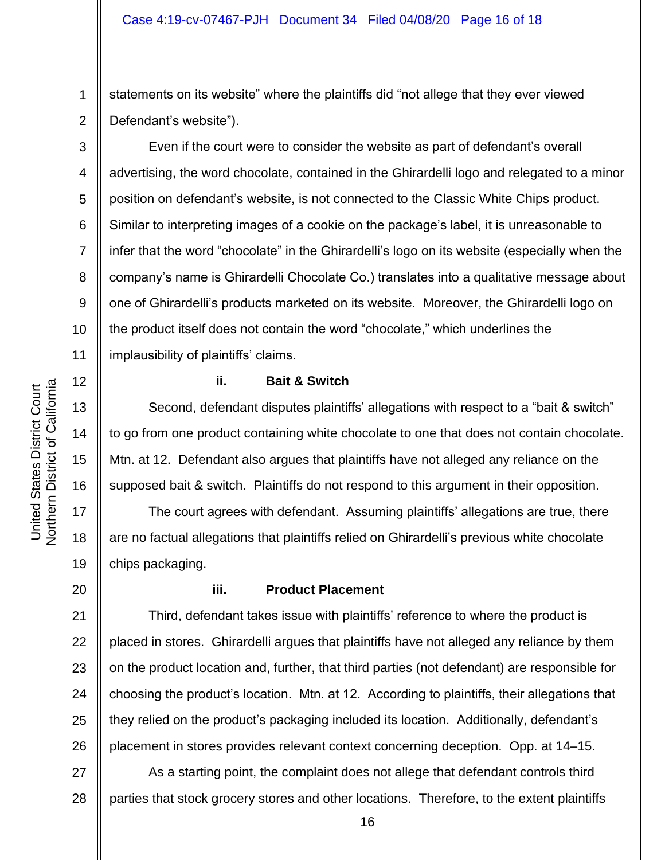1 2 statements on its website" where the plaintiffs did "not allege that they ever viewed Defendant's website").

Even if the court were to consider the website as part of defendant's overall advertising, the word chocolate, contained in the Ghirardelli logo and relegated to a minor position on defendant's website, is not connected to the Classic White Chips product. Similar to interpreting images of a cookie on the package's label, it is unreasonable to infer that the word "chocolate" in the Ghirardelli's logo on its website (especially when the company's name is Ghirardelli Chocolate Co.) translates into a qualitative message about one of Ghirardelli's products marketed on its website. Moreover, the Ghirardelli logo on the product itself does not contain the word "chocolate," which underlines the implausibility of plaintiffs' claims.

#### **ii. Bait & Switch**

Second, defendant disputes plaintiffs' allegations with respect to a "bait & switch" to go from one product containing white chocolate to one that does not contain chocolate. Mtn. at 12. Defendant also argues that plaintiffs have not alleged any reliance on the supposed bait & switch. Plaintiffs do not respond to this argument in their opposition.

The court agrees with defendant. Assuming plaintiffs' allegations are true, there are no factual allegations that plaintiffs relied on Ghirardelli's previous white chocolate chips packaging.

20

3

4

5

6

7

8

9

10

11

12

13

14

15

16

17

18

19

21

22

23

24

25

26

# **iii. Product Placement**

Third, defendant takes issue with plaintiffs' reference to where the product is placed in stores. Ghirardelli argues that plaintiffs have not alleged any reliance by them on the product location and, further, that third parties (not defendant) are responsible for choosing the product's location. Mtn. at 12. According to plaintiffs, their allegations that they relied on the product's packaging included its location. Additionally, defendant's placement in stores provides relevant context concerning deception. Opp. at 14–15.

27 28 As a starting point, the complaint does not allege that defendant controls third parties that stock grocery stores and other locations. Therefore, to the extent plaintiffs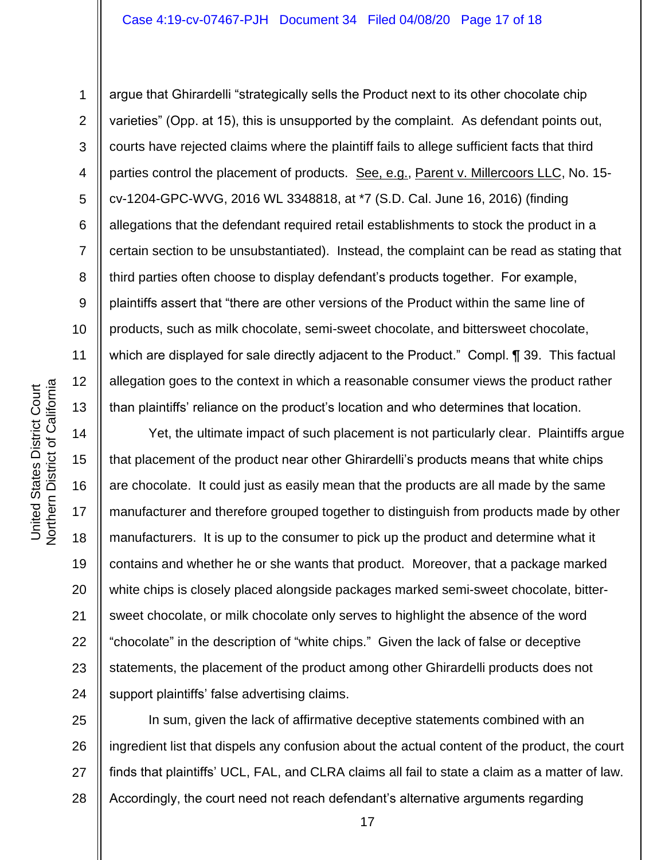argue that Ghirardelli "strategically sells the Product next to its other chocolate chip varieties" (Opp. at 15), this is unsupported by the complaint. As defendant points out, courts have rejected claims where the plaintiff fails to allege sufficient facts that third parties control the placement of products. See, e.g., Parent v. Millercoors LLC, No. 15cv-1204-GPC-WVG, 2016 WL 3348818, at \*7 (S.D. Cal. June 16, 2016) (finding allegations that the defendant required retail establishments to stock the product in a certain section to be unsubstantiated). Instead, the complaint can be read as stating that third parties often choose to display defendant's products together. For example, plaintiffs assert that "there are other versions of the Product within the same line of products, such as milk chocolate, semi-sweet chocolate, and bittersweet chocolate, which are displayed for sale directly adjacent to the Product." Compl. ¶ 39. This factual allegation goes to the context in which a reasonable consumer views the product rather than plaintiffs' reliance on the product's location and who determines that location.

16 Yet, the ultimate impact of such placement is not particularly clear. Plaintiffs argue that placement of the product near other Ghirardelli's products means that white chips are chocolate. It could just as easily mean that the products are all made by the same manufacturer and therefore grouped together to distinguish from products made by other manufacturers. It is up to the consumer to pick up the product and determine what it contains and whether he or she wants that product. Moreover, that a package marked white chips is closely placed alongside packages marked semi-sweet chocolate, bittersweet chocolate, or milk chocolate only serves to highlight the absence of the word "chocolate" in the description of "white chips." Given the lack of false or deceptive statements, the placement of the product among other Ghirardelli products does not support plaintiffs' false advertising claims.

25 26 27 28 In sum, given the lack of affirmative deceptive statements combined with an ingredient list that dispels any confusion about the actual content of the product, the court finds that plaintiffs' UCL, FAL, and CLRA claims all fail to state a claim as a matter of law. Accordingly, the court need not reach defendant's alternative arguments regarding

1

2

3

4

5

6

7

8

9

10

11

12

13

14

15

17

18

19

20

21

22

23

24